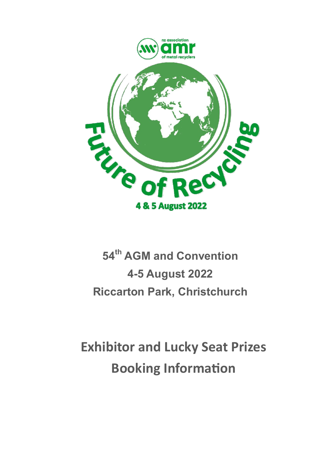

## **54th AGM and Convention 4-5 August 2022 Riccarton Park, Christchurch**

# **Exhibitor and Lucky Seat Prizes Booking Information**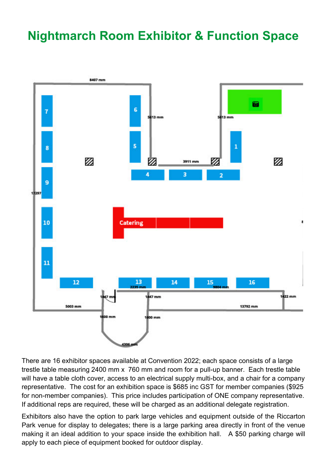#### **Nightmarch Room Exhibitor & Function Space**



There are 16 exhibitor spaces available at Convention 2022; each space consists of a large trestle table measuring 2400 mm x 760 mm and room for a pull-up banner. Each trestle table will have a table cloth cover, access to an electrical supply multi-box, and a chair for a company representative. The cost for an exhibition space is \$685 inc GST for member companies (\$925 for non-member companies). This price includes participation of ONE company representative. If additional reps are required, these will be charged as an additional delegate registration.

Exhibitors also have the option to park large vehicles and equipment outside of the Riccarton Park venue for display to delegates; there is a large parking area directly in front of the venue making it an ideal addition to your space inside the exhibition hall. A \$50 parking charge will apply to each piece of equipment booked for outdoor display.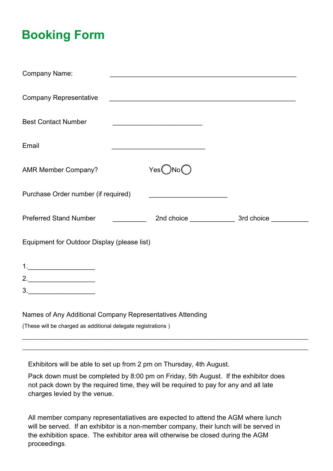### **Booking Form**

| <b>Company Name:</b>                                                                                                                                                                                                                                                                                                                                                                                                         |                                                                                                                      |  |  |
|------------------------------------------------------------------------------------------------------------------------------------------------------------------------------------------------------------------------------------------------------------------------------------------------------------------------------------------------------------------------------------------------------------------------------|----------------------------------------------------------------------------------------------------------------------|--|--|
| <b>Company Representative</b>                                                                                                                                                                                                                                                                                                                                                                                                | <u> 1989 - Johann John Stone, mars eta bainar eta bainar eta baina eta baina eta baina eta baina eta baina eta b</u> |  |  |
| <b>Best Contact Number</b>                                                                                                                                                                                                                                                                                                                                                                                                   |                                                                                                                      |  |  |
| Email                                                                                                                                                                                                                                                                                                                                                                                                                        |                                                                                                                      |  |  |
| <b>AMR Member Company?</b>                                                                                                                                                                                                                                                                                                                                                                                                   | Yes()No()                                                                                                            |  |  |
| Purchase Order number (if required)                                                                                                                                                                                                                                                                                                                                                                                          |                                                                                                                      |  |  |
| Preferred Stand Number [ <i>[11]</i> [ <i>[11]</i> [ <i>[11]</i> [ <i>[11]</i> [ <i>[11]</i> [ <i>[11]</i> [ <i>[11]</i> [ <i>[11]</i> [ <i>[11]</i> [ <i>[11]</i> [ <i>[11]</i> [ <i>[11]</i> [ <i>[11]</i> [ <i>[11]</i> [ <i>[11]</i> [ <i>[11]</i> [ <i>[11]</i> [ <i>[11]</i> [ <i>[11]</i> [ <i>[11]</i> [ <i>[11]</i> [ <i>[11]</i> [ <i>[11]</i> [ <i>[11]</i> [ <i>[11]</i>                                         |                                                                                                                      |  |  |
| Equipment for Outdoor Display (please list)                                                                                                                                                                                                                                                                                                                                                                                  |                                                                                                                      |  |  |
| $\begin{array}{c} \n\textbf{1} & \textbf{1} & \textbf{1} & \textbf{1} & \textbf{1} & \textbf{1} & \textbf{1} & \textbf{1} & \textbf{1} & \textbf{1} & \textbf{1} & \textbf{1} & \textbf{1} & \textbf{1} & \textbf{1} & \textbf{1} & \textbf{1} & \textbf{1} & \textbf{1} & \textbf{1} & \textbf{1} & \textbf{1} & \textbf{1} & \textbf{1} & \textbf{1} & \textbf{1} & \textbf{1} & \textbf{1} & \textbf{1} & \textbf{1} & \$ |                                                                                                                      |  |  |
| 2.                                                                                                                                                                                                                                                                                                                                                                                                                           |                                                                                                                      |  |  |
| 3.                                                                                                                                                                                                                                                                                                                                                                                                                           |                                                                                                                      |  |  |
| Names of Any Additional Company Representatives Attending                                                                                                                                                                                                                                                                                                                                                                    |                                                                                                                      |  |  |
| (These will be charged as additional delegate registrations)                                                                                                                                                                                                                                                                                                                                                                 |                                                                                                                      |  |  |

Exhibitors will be able to set up from 2 pm on Thursday, 4th August.

Pack down must be completed by 8:00 pm on Friday, 5th August. If the exhibitor does not pack down by the required time, they will be required to pay for any and all late charges levied by the venue.

 $\mathcal{L}_\mathcal{L} = \mathcal{L}_\mathcal{L} = \mathcal{L}_\mathcal{L} = \mathcal{L}_\mathcal{L} = \mathcal{L}_\mathcal{L} = \mathcal{L}_\mathcal{L} = \mathcal{L}_\mathcal{L} = \mathcal{L}_\mathcal{L} = \mathcal{L}_\mathcal{L} = \mathcal{L}_\mathcal{L} = \mathcal{L}_\mathcal{L} = \mathcal{L}_\mathcal{L} = \mathcal{L}_\mathcal{L} = \mathcal{L}_\mathcal{L} = \mathcal{L}_\mathcal{L} = \mathcal{L}_\mathcal{L} = \mathcal{L}_\mathcal{L}$ 

All member company representatiatives are expected to attend the AGM where lunch will be served. If an exhibitor is a non-member company, their lunch will be served in the exhibition space. The exhibitor area will otherwise be closed during the AGM proceedings.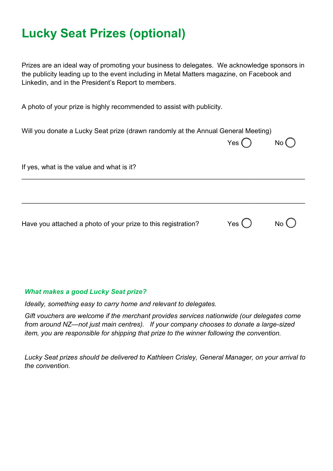#### **Lucky Seat Prizes (optional)**

Prizes are an ideal way of promoting your business to delegates. We acknowledge sponsors in the publicity leading up to the event including in Metal Matters magazine, on Facebook and Linkedin, and in the President's Report to members.

A photo of your prize is highly recommended to assist with publicity.

| Will you donate a Lucky Seat prize (drawn randomly at the Annual General Meeting) |               |                |
|-----------------------------------------------------------------------------------|---------------|----------------|
|                                                                                   | Yes $\bigcap$ | No()           |
|                                                                                   |               |                |
| If yes, what is the value and what is it?                                         |               |                |
|                                                                                   |               |                |
|                                                                                   |               |                |
|                                                                                   |               |                |
| Have you attached a photo of your prize to this registration?                     | Yes $\bigcup$ | $No$ $\bigcup$ |

#### *What makes a good Lucky Seat prize?*

*Ideally, something easy to carry home and relevant to delegates.* 

*Gift vouchers are welcome if the merchant provides services nationwide (our delegates come from around NZ—not just main centres). If your company chooses to donate a large-sized item, you are responsible for shipping that prize to the winner following the convention.* 

*Lucky Seat prizes should be delivered to Kathleen Crisley, General Manager, on your arrival to the convention.*